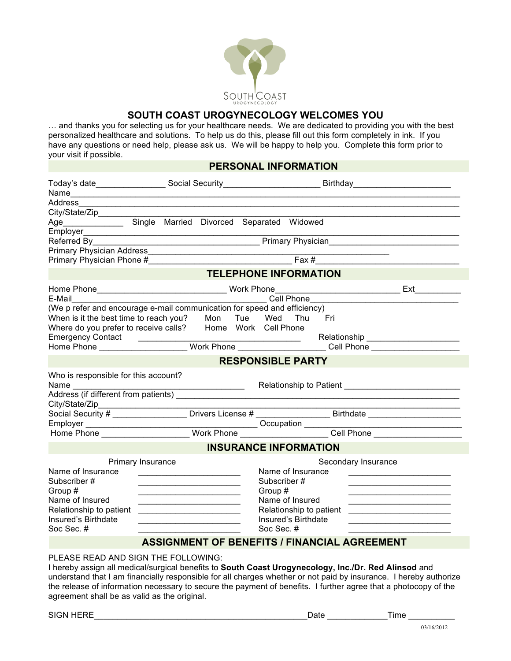

## **SOUTH COAST UROGYNECOLOGY WELCOMES YOU**

… and thanks you for selecting us for your healthcare needs. We are dedicated to providing you with the best personalized healthcare and solutions. To help us do this, please fill out this form completely in ink. If you have any questions or need help, please ask us. We will be happy to help you. Complete this form prior to your visit if possible.

# **PERSONAL INFORMATION**

| Today's date____________________Social Security___________________________Birthday____________________________ |                                                                                                                        |                              |             |                         |                     |                                                                            |
|----------------------------------------------------------------------------------------------------------------|------------------------------------------------------------------------------------------------------------------------|------------------------------|-------------|-------------------------|---------------------|----------------------------------------------------------------------------|
| Address                                                                                                        |                                                                                                                        |                              |             |                         |                     |                                                                            |
|                                                                                                                |                                                                                                                        |                              |             |                         |                     |                                                                            |
| Age Single Married Divorced Separated Widowed                                                                  |                                                                                                                        |                              |             |                         |                     |                                                                            |
|                                                                                                                |                                                                                                                        |                              |             |                         |                     |                                                                            |
|                                                                                                                |                                                                                                                        |                              |             |                         |                     |                                                                            |
|                                                                                                                |                                                                                                                        |                              |             |                         |                     |                                                                            |
|                                                                                                                |                                                                                                                        |                              |             |                         |                     |                                                                            |
|                                                                                                                |                                                                                                                        | <b>TELEPHONE INFORMATION</b> |             |                         |                     |                                                                            |
|                                                                                                                |                                                                                                                        |                              |             |                         |                     |                                                                            |
| E-Mail                                                                                                         |                                                                                                                        | Cell Phone                   |             |                         |                     |                                                                            |
| (We p refer and encourage e-mail communication for speed and efficiency)                                       |                                                                                                                        |                              |             |                         |                     |                                                                            |
| When is it the best time to reach you? Mon Tue Wed Thu Fri                                                     |                                                                                                                        |                              |             |                         |                     |                                                                            |
| Where do you prefer to receive calls? Home Work Cell Phone                                                     |                                                                                                                        |                              |             |                         |                     |                                                                            |
|                                                                                                                |                                                                                                                        |                              |             |                         |                     |                                                                            |
|                                                                                                                |                                                                                                                        |                              |             |                         |                     |                                                                            |
|                                                                                                                |                                                                                                                        | <b>RESPONSIBLE PARTY</b>     |             |                         |                     |                                                                            |
| Who is responsible for this account?                                                                           |                                                                                                                        |                              |             |                         |                     |                                                                            |
|                                                                                                                |                                                                                                                        |                              |             |                         |                     | Relationship to Patient <b>Exercise 2018</b>                               |
| Address (if different from patients)                                                                           |                                                                                                                        |                              |             |                         |                     |                                                                            |
| City/State/Zip_                                                                                                |                                                                                                                        |                              |             |                         |                     |                                                                            |
|                                                                                                                |                                                                                                                        |                              |             |                         |                     |                                                                            |
|                                                                                                                |                                                                                                                        |                              |             |                         |                     |                                                                            |
|                                                                                                                |                                                                                                                        |                              |             |                         |                     |                                                                            |
|                                                                                                                |                                                                                                                        | <b>INSURANCE INFORMATION</b> |             |                         |                     |                                                                            |
|                                                                                                                | Primary Insurance                                                                                                      |                              |             |                         | Secondary Insurance |                                                                            |
| Name of Insurance                                                                                              | <u> 1980 - John Stein, mars and de Branch and de Branch and de Branch and de Branch and de Branch and de Branch an</u> |                              |             | Name of Insurance       |                     |                                                                            |
| Subscriber#                                                                                                    |                                                                                                                        |                              | Subscriber# |                         |                     |                                                                            |
| Group #                                                                                                        | <u> 1989 - Johann Barbara, martxa alemaniar a</u>                                                                      |                              | Group #     |                         |                     |                                                                            |
| Name of Insured                                                                                                |                                                                                                                        |                              |             | Name of Insured         |                     |                                                                            |
| Relationship to patient                                                                                        | <u> 1980 - Andrea Andrew Maria (h. 1980).</u>                                                                          |                              |             | Relationship to patient |                     | the control of the control of the control of the control of the control of |
| Insured's Birthdate                                                                                            | the company of the company of the company of                                                                           |                              |             | Insured's Birthdate     |                     |                                                                            |
| Soc Sec. #                                                                                                     |                                                                                                                        |                              | Soc Sec. #  |                         |                     |                                                                            |
|                                                                                                                | <b>ASSIGNMENT OF BENEFITS / FINANCIAL AGREEMENT</b>                                                                    |                              |             |                         |                     |                                                                            |
| $CP$ $P^*$                                                                                                     |                                                                                                                        |                              |             |                         |                     |                                                                            |

#### PLEASE READ AND SIGN THE FOLLOWING:

I hereby assign all medical/surgical benefits to **South Coast Urogynecology, Inc./Dr. Red Alinsod** and understand that I am financially responsible for all charges whether or not paid by insurance. I hereby authorize the release of information necessary to secure the payment of benefits. I further agree that a photocopy of the agreement shall be as valid as the original.

| <b>SIGN HERE</b> | Date | ∖ıme |  |
|------------------|------|------|--|
|                  |      |      |  |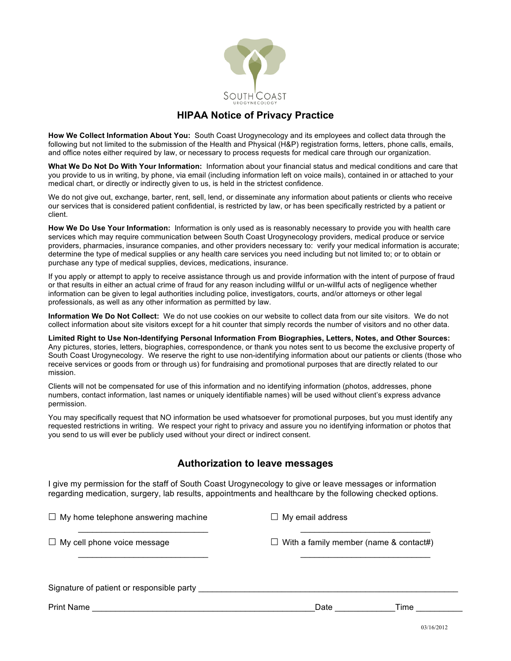

# **HIPAA Notice of Privacy Practice**

**How We Collect Information About You:** South Coast Urogynecology and its employees and collect data through the following but not limited to the submission of the Health and Physical (H&P) registration forms, letters, phone calls, emails, and office notes either required by law, or necessary to process requests for medical care through our organization.

**What We Do Not Do With Your Information:** Information about your financial status and medical conditions and care that you provide to us in writing, by phone, via email (including information left on voice mails), contained in or attached to your medical chart, or directly or indirectly given to us, is held in the strictest confidence.

We do not give out, exchange, barter, rent, sell, lend, or disseminate any information about patients or clients who receive our services that is considered patient confidential, is restricted by law, or has been specifically restricted by a patient or client.

**How We Do Use Your Information:** Information is only used as is reasonably necessary to provide you with health care services which may require communication between South Coast Urogynecology providers, medical produce or service providers, pharmacies, insurance companies, and other providers necessary to: verify your medical information is accurate; determine the type of medical supplies or any health care services you need including but not limited to; or to obtain or purchase any type of medical supplies, devices, medications, insurance.

If you apply or attempt to apply to receive assistance through us and provide information with the intent of purpose of fraud or that results in either an actual crime of fraud for any reason including willful or un-willful acts of negligence whether information can be given to legal authorities including police, investigators, courts, and/or attorneys or other legal professionals, as well as any other information as permitted by law.

**Information We Do Not Collect:** We do not use cookies on our website to collect data from our site visitors. We do not collect information about site visitors except for a hit counter that simply records the number of visitors and no other data.

**Limited Right to Use Non-Identifying Personal Information From Biographies, Letters, Notes, and Other Sources:** Any pictures, stories, letters, biographies, correspondence, or thank you notes sent to us become the exclusive property of South Coast Urogynecology. We reserve the right to use non-identifying information about our patients or clients (those who receive services or goods from or through us) for fundraising and promotional purposes that are directly related to our mission.

Clients will not be compensated for use of this information and no identifying information (photos, addresses, phone numbers, contact information, last names or uniquely identifiable names) will be used without client's express advance permission.

You may specifically request that NO information be used whatsoever for promotional purposes, but you must identify any requested restrictions in writing. We respect your right to privacy and assure you no identifying information or photos that you send to us will ever be publicly used without your direct or indirect consent.

# **Authorization to leave messages**

I give my permission for the staff of South Coast Urogynecology to give or leave messages or information regarding medication, surgery, lab results, appointments and healthcare by the following checked options.

| $\Box$ My home telephone answering machine | $\Box$ My email address                       |      |
|--------------------------------------------|-----------------------------------------------|------|
| $\Box$ My cell phone voice message         | $\Box$ With a family member (name & contact#) |      |
| Signature of patient or responsible party  |                                               |      |
| <b>Print Name</b>                          | Date                                          | Time |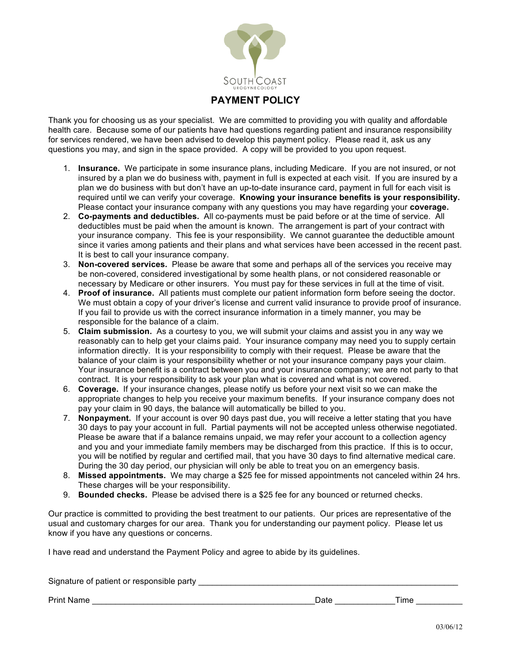

# **PAYMENT POLICY**

Thank you for choosing us as your specialist. We are committed to providing you with quality and affordable health care. Because some of our patients have had questions regarding patient and insurance responsibility for services rendered, we have been advised to develop this payment policy. Please read it, ask us any questions you may, and sign in the space provided. A copy will be provided to you upon request.

- 1. **Insurance.** We participate in some insurance plans, including Medicare. If you are not insured, or not insured by a plan we do business with, payment in full is expected at each visit. If you are insured by a plan we do business with but don't have an up-to-date insurance card, payment in full for each visit is required until we can verify your coverage. **Knowing your insurance benefits is your responsibility.** Please contact your insurance company with any questions you may have regarding your **coverage.**
- 2. **Co-payments and deductibles.** All co-payments must be paid before or at the time of service. All deductibles must be paid when the amount is known. The arrangement is part of your contract with your insurance company. This fee is your responsibility. We cannot guarantee the deductible amount since it varies among patients and their plans and what services have been accessed in the recent past. It is best to call your insurance company.
- 3. **Non-covered services.** Please be aware that some and perhaps all of the services you receive may be non-covered, considered investigational by some health plans, or not considered reasonable or necessary by Medicare or other insurers. You must pay for these services in full at the time of visit.
- 4. **Proof of insurance.** All patients must complete our patient information form before seeing the doctor. We must obtain a copy of your driver's license and current valid insurance to provide proof of insurance. If you fail to provide us with the correct insurance information in a timely manner, you may be responsible for the balance of a claim.
- 5. **Claim submission.** As a courtesy to you, we will submit your claims and assist you in any way we reasonably can to help get your claims paid. Your insurance company may need you to supply certain information directly. It is your responsibility to comply with their request. Please be aware that the balance of your claim is your responsibility whether or not your insurance company pays your claim. Your insurance benefit is a contract between you and your insurance company; we are not party to that contract. It is your responsibility to ask your plan what is covered and what is not covered.
- 6. **Coverage.** If your insurance changes, please notify us before your next visit so we can make the appropriate changes to help you receive your maximum benefits. If your insurance company does not pay your claim in 90 days, the balance will automatically be billed to you.
- 7. **Nonpayment.** If your account is over 90 days past due, you will receive a letter stating that you have 30 days to pay your account in full. Partial payments will not be accepted unless otherwise negotiated. Please be aware that if a balance remains unpaid, we may refer your account to a collection agency and you and your immediate family members may be discharged from this practice. If this is to occur, you will be notified by regular and certified mail, that you have 30 days to find alternative medical care. During the 30 day period, our physician will only be able to treat you on an emergency basis.
- 8. **Missed appointments.** We may charge a \$25 fee for missed appointments not canceled within 24 hrs. These charges will be your responsibility.
- 9. **Bounded checks.** Please be advised there is a \$25 fee for any bounced or returned checks.

Our practice is committed to providing the best treatment to our patients. Our prices are representative of the usual and customary charges for our area. Thank you for understanding our payment policy. Please let us know if you have any questions or concerns.

I have read and understand the Payment Policy and agree to abide by its guidelines.

| Signature of patient or responsible party |      |      |
|-------------------------------------------|------|------|
| <b>Print Name</b>                         | Date | Time |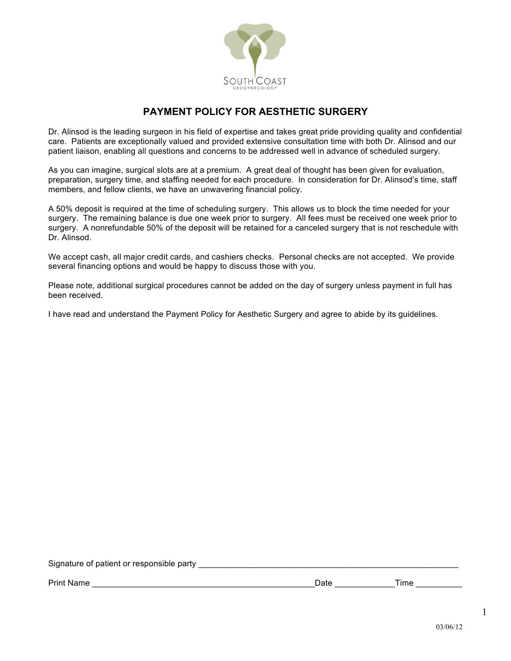

# **PAYMENT POLICY FOR AESTHETIC SURGERY**

Dr. Alinsod is the leading surgeon in his field of expertise and takes great pride providing quality and confidential care. Patients are exceptionally valued and provided extensive consultation time with both Dr. Alinsod and our patient liaison, enabling all questions and concerns to be addressed well in advance of scheduled surgery.

As you can imagine, surgical slots are at a premium. A great deal of thought has been given for evaluation, preparation, surgery time, and staffing needed for each procedure. In consideration for Dr. Alinsod's time, staff members, and fellow clients, we have an unwavering financial policy.

A 50% deposit is required at the time of scheduling surgery. This allows us to block the time needed for your surgery. The remaining balance is due one week prior to surgery. All fees must be received one week prior to surgery. A nonrefundable 50% of the deposit will be retained for a canceled surgery that is not reschedule with Dr. Alinsod.

We accept cash, all major credit cards, and cashiers checks. Personal checks are not accepted. We provide several financing options and would be happy to discuss those with you.

Please note, additional surgical procedures cannot be added on the day of surgery unless payment in full has been received.

I have read and understand the Payment Policy for Aesthetic Surgery and agree to abide by its guidelines.

| Signature of patient or responsible party |      |      |
|-------------------------------------------|------|------|
| <b>Print Name</b>                         | Date | Time |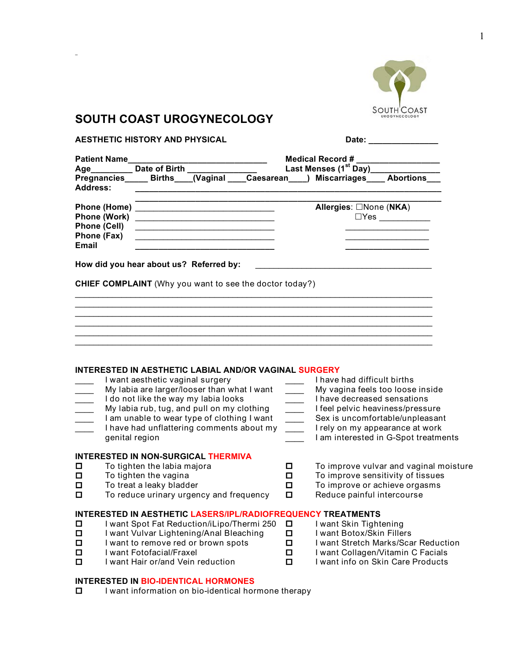

# **SOUTH COAST UROGYNECOLOGY**

| <b>AESTHETIC HISTORY AND PHYSICAL</b>                              |                                                                                                                                                                                        |                                                                      | Date: ______________               |                                                                                                                                                                                                                                                                                                                                                                   |  |  |
|--------------------------------------------------------------------|----------------------------------------------------------------------------------------------------------------------------------------------------------------------------------------|----------------------------------------------------------------------|------------------------------------|-------------------------------------------------------------------------------------------------------------------------------------------------------------------------------------------------------------------------------------------------------------------------------------------------------------------------------------------------------------------|--|--|
| <b>Patient Name</b>                                                | Age__________ Date of Birth                                                                                                                                                            | Medical Record #<br>Last Menses (1 <sup>st</sup> Day)_______________ |                                    |                                                                                                                                                                                                                                                                                                                                                                   |  |  |
| <b>Address:</b>                                                    | Pregnancies Births (Vaginal                                                                                                                                                            |                                                                      | Caesarean ) Miscarriages Abortions |                                                                                                                                                                                                                                                                                                                                                                   |  |  |
| <b>Phone (Work)</b><br><b>Phone (Cell)</b><br>Phone (Fax)<br>Email | <u> 1989 - Johann Barbara, martin amerikan basa</u><br>the control of the control of the control of the control of the control of<br><u> 1989 - Johann Barbara, martxa alemaniar a</u> |                                                                      | Allergies: □None (NKA)             | $\square Yes \begin{picture}(10,10) \put(0,0){\line(1,0){10}} \put(0,0){\line(1,0){10}} \put(0,0){\line(1,0){10}} \put(0,0){\line(1,0){10}} \put(0,0){\line(1,0){10}} \put(0,0){\line(1,0){10}} \put(0,0){\line(1,0){10}} \put(0,0){\line(1,0){10}} \put(0,0){\line(1,0){10}} \put(0,0){\line(1,0){10}} \put(0,0){\line(1,0){10}} \put(0,0){\line(1,0){10}} \put$ |  |  |
|                                                                    | How did you hear about us? Referred by:                                                                                                                                                |                                                                      |                                    |                                                                                                                                                                                                                                                                                                                                                                   |  |  |
|                                                                    | <b>CHIEF COMPLAINT</b> (Why you want to see the doctor today?)                                                                                                                         |                                                                      |                                    |                                                                                                                                                                                                                                                                                                                                                                   |  |  |
|                                                                    |                                                                                                                                                                                        |                                                                      |                                    |                                                                                                                                                                                                                                                                                                                                                                   |  |  |
|                                                                    |                                                                                                                                                                                        |                                                                      |                                    |                                                                                                                                                                                                                                                                                                                                                                   |  |  |
|                                                                    | INTERESTED IN AESTHETIC LABIAL AND/OR VAGINAL SURGERY                                                                                                                                  |                                                                      |                                    |                                                                                                                                                                                                                                                                                                                                                                   |  |  |
|                                                                    | I want aesthetic vaginal surgery<br>My labia are larger/looser than what I want                                                                                                        |                                                                      | I have had difficult births        | My vagina feels too loose inside                                                                                                                                                                                                                                                                                                                                  |  |  |
| $\frac{1}{2}$ . $\frac{1}{2}$                                      | I do not like the way my labia looks                                                                                                                                                   | $\mathcal{L}^{\mathcal{L}}$                                          | I have decreased sensations        |                                                                                                                                                                                                                                                                                                                                                                   |  |  |
|                                                                    | My labia rub, tug, and pull on my clothing<br>I am unable to wear type of clothing I want                                                                                              | $\overline{\phantom{a}}$                                             | I feel pelvic heaviness/pressure   | Sex is uncomfortable/unpleasant                                                                                                                                                                                                                                                                                                                                   |  |  |
|                                                                    | I have had unflattering comments about my                                                                                                                                              | $\overline{\phantom{a}}$                                             |                                    | I rely on my appearance at work                                                                                                                                                                                                                                                                                                                                   |  |  |
|                                                                    | genital region                                                                                                                                                                         |                                                                      |                                    | I am interested in G-Spot treatments                                                                                                                                                                                                                                                                                                                              |  |  |
|                                                                    | <b>INTERESTED IN NON-SURGICAL THERMIVA</b>                                                                                                                                             |                                                                      |                                    |                                                                                                                                                                                                                                                                                                                                                                   |  |  |
| П<br>$\Box$                                                        | To tighten the labia majora<br>To tighten the vagina                                                                                                                                   | О.<br>П                                                              |                                    | To improve vulvar and vaginal moisture<br>To improve sensitivity of tissues                                                                                                                                                                                                                                                                                       |  |  |
| □                                                                  | To treat a leaky bladder                                                                                                                                                               | О                                                                    |                                    | To improve or achieve orgasms                                                                                                                                                                                                                                                                                                                                     |  |  |
| П                                                                  | To reduce urinary urgency and frequency                                                                                                                                                | О.                                                                   | Reduce painful intercourse         |                                                                                                                                                                                                                                                                                                                                                                   |  |  |
|                                                                    | <b>INTERESTED IN AESTHETIC LASERS/IPL/RADIOFREQUENCY TREATMENTS</b>                                                                                                                    |                                                                      |                                    |                                                                                                                                                                                                                                                                                                                                                                   |  |  |
| $\Box$                                                             | I want Spot Fat Reduction/iLipo/Thermi 250                                                                                                                                             | $\Box$                                                               | I want Skin Tightening             |                                                                                                                                                                                                                                                                                                                                                                   |  |  |
| □                                                                  | I want Vulvar Lightening/Anal Bleaching<br>I want to remove red or brown spots                                                                                                         | П<br>О                                                               | I want Botox/Skin Fillers          | I want Stretch Marks/Scar Reduction                                                                                                                                                                                                                                                                                                                               |  |  |
| □<br>$\Box$                                                        | I want Fotofacial/Fraxel                                                                                                                                                               | □                                                                    |                                    | I want Collagen/Vitamin C Facials                                                                                                                                                                                                                                                                                                                                 |  |  |
| 口                                                                  | I want Hair or/and Vein reduction                                                                                                                                                      | □                                                                    |                                    | I want info on Skin Care Products                                                                                                                                                                                                                                                                                                                                 |  |  |

### **INTERESTED IN BIO-IDENTICAL HORMONES**

 $\square$  I want information on bio-identical hormone therapy

1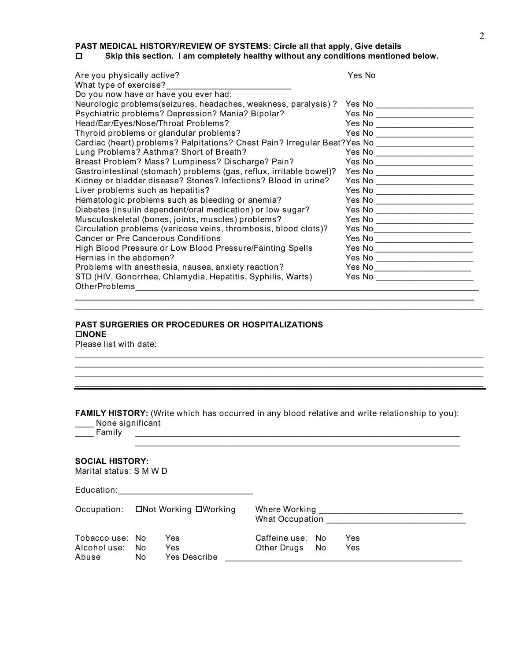**PAST MEDICAL HISTORY/REVIEW OF SYSTEMS: Circle all that apply, Give details**<br>□ Skip this section. I am completely healthy without any conditions mentione

## Skip this section. I am completely healthy without any conditions mentioned below.

| Are you physically active?                                                | Yes No                                                      |
|---------------------------------------------------------------------------|-------------------------------------------------------------|
| What type of exercise?                                                    |                                                             |
| Do you now have or have you ever had:                                     |                                                             |
| Neurologic problems (seizures, headaches, weakness, paralysis)?           | Yes No ________________                                     |
| Psychiatric problems? Depression? Mania? Bipolar?                         |                                                             |
| Head/Ear/Eyes/Nose/Throat Problems?                                       | Yes No _____________________                                |
| Thyroid problems or glandular problems?                                   |                                                             |
| Cardiac (heart) problems? Palpitations? Chest Pain? Irregular Beat?Yes No |                                                             |
| Lung Problems? Asthma? Short of Breath?                                   |                                                             |
| Breast Problem? Mass? Lumpiness? Discharge? Pain?                         | Yes No __________________                                   |
| Gastrointestinal (stomach) problems (gas, reflux, irritable bowel)?       | Yes No ______________________                               |
| Kidney or bladder disease? Stones? Infections? Blood in urine?            |                                                             |
| Liver problems such as hepatitis?                                         | Yes No <u>_______________________</u>                       |
| Hematologic problems such as bleeding or anemia?                          | Yes No ______________________                               |
| Diabetes (insulin dependent/oral medication) or low sugar?                |                                                             |
| Musculoskeletal (bones, joints, muscles) problems?                        | Yes No _____________________                                |
| Circulation problems (varicose veins, thrombosis, blood clots)?           | Yes No _____________________                                |
| Cancer or Pre Cancerous Conditions                                        | Yes No ______________________                               |
| High Blood Pressure or Low Blood Pressure/Fainting Spells                 | Yes No _____________________                                |
| Hernias in the abdomen?                                                   | Yes No ____<br>the control of the control of the control of |
| Problems with anesthesia, nausea, anxiety reaction?                       | Yes No ______________________                               |
| STD (HIV, Gonorrhea, Chlamydia, Hepatitis, Syphilis, Warts)               | Yes No                                                      |
| <b>OtherProblems</b>                                                      |                                                             |

**\_\_\_\_\_\_\_\_\_\_\_\_\_\_\_\_\_\_\_\_\_\_\_\_\_\_\_\_\_\_\_\_\_\_\_\_\_\_\_\_\_\_\_\_\_\_\_\_\_\_\_\_\_\_\_\_\_\_\_\_\_\_\_\_\_\_\_\_\_\_\_\_\_\_\_\_\_\_\_\_\_\_\_\_\_\_**  $\mathcal{L}_\mathcal{L} = \{ \mathcal{L}_\mathcal{L} = \{ \mathcal{L}_\mathcal{L} = \{ \mathcal{L}_\mathcal{L} = \{ \mathcal{L}_\mathcal{L} = \{ \mathcal{L}_\mathcal{L} = \{ \mathcal{L}_\mathcal{L} = \{ \mathcal{L}_\mathcal{L} = \{ \mathcal{L}_\mathcal{L} = \{ \mathcal{L}_\mathcal{L} = \{ \mathcal{L}_\mathcal{L} = \{ \mathcal{L}_\mathcal{L} = \{ \mathcal{L}_\mathcal{L} = \{ \mathcal{L}_\mathcal{L} = \{ \mathcal{L}_\mathcal{$ 

\_\_\_\_\_\_\_\_\_\_\_\_\_\_\_\_\_\_\_\_\_\_\_\_\_\_\_\_\_\_\_\_\_\_\_\_\_\_\_\_\_\_\_\_\_\_\_\_\_\_\_\_\_\_\_\_\_\_\_\_\_\_\_\_\_\_\_\_\_\_\_\_\_\_\_\_\_\_\_\_\_\_\_\_\_\_\_\_  $\mathcal{L}_\mathcal{L} = \{ \mathcal{L}_\mathcal{L} = \{ \mathcal{L}_\mathcal{L} = \{ \mathcal{L}_\mathcal{L} = \{ \mathcal{L}_\mathcal{L} = \{ \mathcal{L}_\mathcal{L} = \{ \mathcal{L}_\mathcal{L} = \{ \mathcal{L}_\mathcal{L} = \{ \mathcal{L}_\mathcal{L} = \{ \mathcal{L}_\mathcal{L} = \{ \mathcal{L}_\mathcal{L} = \{ \mathcal{L}_\mathcal{L} = \{ \mathcal{L}_\mathcal{L} = \{ \mathcal{L}_\mathcal{L} = \{ \mathcal{L}_\mathcal{$  $\mathcal{L}_\mathcal{L} = \{ \mathcal{L}_\mathcal{L} = \{ \mathcal{L}_\mathcal{L} = \{ \mathcal{L}_\mathcal{L} = \{ \mathcal{L}_\mathcal{L} = \{ \mathcal{L}_\mathcal{L} = \{ \mathcal{L}_\mathcal{L} = \{ \mathcal{L}_\mathcal{L} = \{ \mathcal{L}_\mathcal{L} = \{ \mathcal{L}_\mathcal{L} = \{ \mathcal{L}_\mathcal{L} = \{ \mathcal{L}_\mathcal{L} = \{ \mathcal{L}_\mathcal{L} = \{ \mathcal{L}_\mathcal{L} = \{ \mathcal{L}_\mathcal{$  $\_$  ,  $\_$  ,  $\_$  ,  $\_$  ,  $\_$  ,  $\_$  ,  $\_$  ,  $\_$  ,  $\_$  ,  $\_$  ,  $\_$  ,  $\_$  ,  $\_$  ,  $\_$  ,  $\_$  ,  $\_$  ,  $\_$  ,  $\_$  ,  $\_$  ,  $\_$  ,  $\_$  ,  $\_$  ,  $\_$  ,  $\_$  ,  $\_$  ,  $\_$  ,  $\_$  ,  $\_$  ,  $\_$  ,  $\_$  ,  $\_$  ,  $\_$  ,  $\_$  ,  $\_$  ,  $\_$  ,  $\_$  ,  $\_$  ,

 $\_$  ,  $\_$  ,  $\_$  ,  $\_$  ,  $\_$  ,  $\_$  ,  $\_$  ,  $\_$  ,  $\_$  ,  $\_$  ,  $\_$  ,  $\_$  ,  $\_$  ,  $\_$  ,  $\_$  ,  $\_$  ,  $\_$  ,  $\_$  ,  $\_$  ,  $\_$ 

## **PAST SURGERIES OR PROCEDURES OR HOSPITALIZATIONS** o**NONE**

Please list with date:

**FAMILY HISTORY:** (Write which has occurred in any blood relative and write relationship to you):

\_\_\_\_ None significant

\_\_\_\_ Family \_\_\_\_\_\_\_\_\_\_\_\_\_\_\_\_\_\_\_\_\_\_\_\_\_\_\_\_\_\_\_\_\_\_\_\_\_\_\_\_\_\_\_\_\_\_\_\_\_\_\_\_\_\_\_\_\_\_\_\_\_\_\_\_\_\_\_\_\_\_

#### **SOCIAL HISTORY:**

Marital status: S M W D

Education:\_\_\_\_\_\_\_\_\_\_\_\_\_\_\_\_\_\_\_\_\_\_\_\_\_\_\_\_\_

| □Not Working □Working                    |            | Where Working                     |                                    |  |            |  |  |
|------------------------------------------|------------|-----------------------------------|------------------------------------|--|------------|--|--|
| Occupation:                              |            | What Occupation                   |                                    |  |            |  |  |
| Tobacco use: No<br>Alcohol use:<br>Abuse | No.<br>No. | Yes<br>Yes<br><b>Yes Describe</b> | Caffeine use: No<br>Other Drugs No |  | Yes<br>Yes |  |  |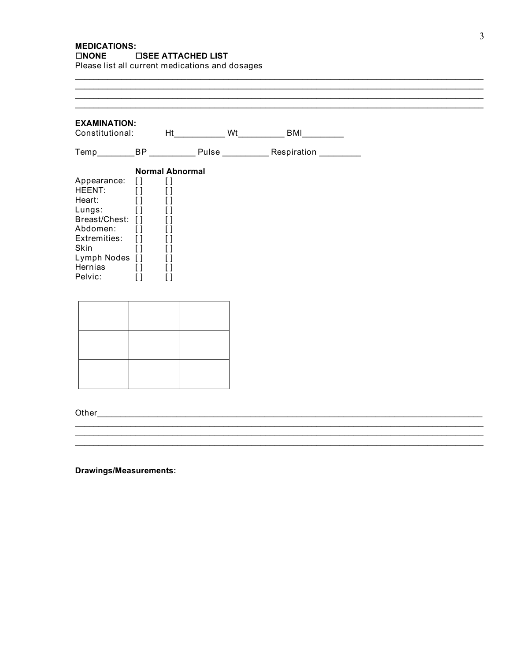# **MEDICATIONS:** □NONE □SEE ATTACHED LIST

Please list all current medications and dosages

| <b>EXAMINATION:</b>                                                                                                                    |                                                                                                                                                                                      |                                                                                                                                                                       |    |    |    |
|----------------------------------------------------------------------------------------------------------------------------------------|--------------------------------------------------------------------------------------------------------------------------------------------------------------------------------------|-----------------------------------------------------------------------------------------------------------------------------------------------------------------------|----|----|----|
| Constitutional:                                                                                                                        |                                                                                                                                                                                      |                                                                                                                                                                       | Ht | Wt | BM |
| Temp___________BP ______________ Pulse ______________ Respiration ___________                                                          |                                                                                                                                                                                      |                                                                                                                                                                       |    |    |    |
| Appearance:<br>HEENT:<br>Heart:<br>Lungs:<br>Breast/Chest:<br>Abdomen:<br>Extremities:<br>Skin<br>Lymph Nodes []<br>Hernias<br>Pelvic: | $\lceil$<br>$\left[ \ \right]$<br>$\lbrack \, \rbrack$<br>$\left[ \ \right]$<br>$\lceil$<br>$\left[ \ \right]$<br>$\Box$<br>$\lbrack \, \rbrack$<br>$\lbrack \, \rbrack$<br>$\lceil$ | <b>Normal Abnormal</b><br>$\lceil$<br>$\left[ \ \right]$<br>[]<br>$\left[ \ \right]$<br>[]<br>[]<br>[]<br>[]<br>$\left[ \ \right]$<br>$\lbrack \ \rbrack$<br>$\lceil$ |    |    |    |
|                                                                                                                                        |                                                                                                                                                                                      |                                                                                                                                                                       |    |    |    |
|                                                                                                                                        |                                                                                                                                                                                      |                                                                                                                                                                       |    |    |    |
|                                                                                                                                        |                                                                                                                                                                                      |                                                                                                                                                                       |    |    |    |

 $\overline{\phantom{0}}$ 

Drawings/Measurements: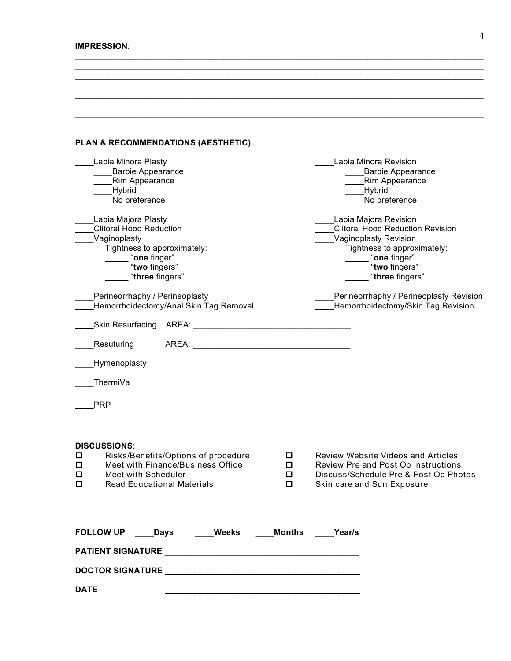#### **IMPRESSION**:

#### **PLAN & RECOMMENDATIONS (AESTHETIC)**:

| Labia Minora Plasty<br><b>Barbie Appearance</b><br>Rim Appearance<br>Hybrid<br>No preference                                                                                         |                        | Labia Minora Revision<br><b>Barbie Appearance</b><br>Rim Appearance<br>Hybrid<br>No preference                                                                               |
|--------------------------------------------------------------------------------------------------------------------------------------------------------------------------------------|------------------------|------------------------------------------------------------------------------------------------------------------------------------------------------------------------------|
| Labia Majora Plasty<br><b>Clitoral Hood Reduction</b><br>Vaginoplasty<br>Tightness to approximately:<br>"one finger"<br>"two fingers"<br>"three fingers"                             |                        | Labia Majora Revision<br><b>Clitoral Hood Reduction Revision</b><br>Vaginoplasty Revision<br>Tightness to approximately:<br>"one finger"<br>"two fingers"<br>"three fingers" |
| Perineorrhaphy / Perineoplasty<br>Hemorrhoidectomy/Anal Skin Tag Removal                                                                                                             |                        | Perineorrhaphy / Perineoplasty Revision<br>Hemorrhoidectomy/Skin Tag Revision                                                                                                |
| <b>Skin Resurfacing</b><br>AREA:                                                                                                                                                     |                        |                                                                                                                                                                              |
| AREA:<br>Resuturing                                                                                                                                                                  |                        |                                                                                                                                                                              |
| Hymenoplasty                                                                                                                                                                         |                        |                                                                                                                                                                              |
| ThermiVa                                                                                                                                                                             |                        |                                                                                                                                                                              |
| <b>PRP</b>                                                                                                                                                                           |                        |                                                                                                                                                                              |
| <b>DISCUSSIONS:</b><br>Risks/Benefits/Options of procedure<br>◻<br>Meet with Finance/Business Office<br>$\Box$<br>Meet with Scheduler<br>□<br>□<br><b>Read Educational Materials</b> | 0<br>$\Box$<br>О<br>О. | Review Website Videos and Articles<br>Review Pre and Post Op Instructions<br>Discuss/Schedule Pre & Post Op Photos<br>Skin care and Sun Exposure                             |
| FOLLOW UP Days Weeks                                                                                                                                                                 | <b>Months</b>          | Year/s                                                                                                                                                                       |
|                                                                                                                                                                                      |                        |                                                                                                                                                                              |
|                                                                                                                                                                                      |                        |                                                                                                                                                                              |
| <b>DATE</b>                                                                                                                                                                          |                        |                                                                                                                                                                              |

\_\_\_\_\_\_\_\_\_\_\_\_\_\_\_\_\_\_\_\_\_\_\_\_\_\_\_\_\_\_\_\_\_\_\_\_\_\_\_\_\_\_\_\_\_\_\_\_\_\_\_\_\_\_\_\_\_\_\_\_\_\_\_\_\_\_\_\_\_\_\_\_\_\_\_\_\_\_\_\_\_\_\_\_\_\_\_\_  $\mathcal{L}_\mathcal{L} = \{ \mathcal{L}_\mathcal{L} = \{ \mathcal{L}_\mathcal{L} = \{ \mathcal{L}_\mathcal{L} = \{ \mathcal{L}_\mathcal{L} = \{ \mathcal{L}_\mathcal{L} = \{ \mathcal{L}_\mathcal{L} = \{ \mathcal{L}_\mathcal{L} = \{ \mathcal{L}_\mathcal{L} = \{ \mathcal{L}_\mathcal{L} = \{ \mathcal{L}_\mathcal{L} = \{ \mathcal{L}_\mathcal{L} = \{ \mathcal{L}_\mathcal{L} = \{ \mathcal{L}_\mathcal{L} = \{ \mathcal{L}_\mathcal{$  $\mathcal{L}_\mathcal{L} = \{ \mathcal{L}_\mathcal{L} = \{ \mathcal{L}_\mathcal{L} = \{ \mathcal{L}_\mathcal{L} = \{ \mathcal{L}_\mathcal{L} = \{ \mathcal{L}_\mathcal{L} = \{ \mathcal{L}_\mathcal{L} = \{ \mathcal{L}_\mathcal{L} = \{ \mathcal{L}_\mathcal{L} = \{ \mathcal{L}_\mathcal{L} = \{ \mathcal{L}_\mathcal{L} = \{ \mathcal{L}_\mathcal{L} = \{ \mathcal{L}_\mathcal{L} = \{ \mathcal{L}_\mathcal{L} = \{ \mathcal{L}_\mathcal{$  $\_$  ,  $\_$  ,  $\_$  ,  $\_$  ,  $\_$  ,  $\_$  ,  $\_$  ,  $\_$  ,  $\_$  ,  $\_$  ,  $\_$  ,  $\_$  ,  $\_$  ,  $\_$  ,  $\_$  ,  $\_$  ,  $\_$  ,  $\_$  ,  $\_$  ,  $\_$  ,  $\_$  ,  $\_$  ,  $\_$  ,  $\_$  ,  $\_$  ,  $\_$  ,  $\_$  ,  $\_$  ,  $\_$  ,  $\_$  ,  $\_$  ,  $\_$  ,  $\_$  ,  $\_$  ,  $\_$  ,  $\_$  ,  $\_$  , \_\_\_\_\_\_\_\_\_\_\_\_\_\_\_\_\_\_\_\_\_\_\_\_\_\_\_\_\_\_\_\_\_\_\_\_\_\_\_\_\_\_\_\_\_\_\_\_\_\_\_\_\_\_\_\_\_\_\_\_\_\_\_\_\_\_\_\_\_\_\_\_\_\_\_\_\_\_\_\_\_\_\_\_\_\_\_\_  $\mathcal{L}_\mathcal{L} = \{ \mathcal{L}_\mathcal{L} = \{ \mathcal{L}_\mathcal{L} = \{ \mathcal{L}_\mathcal{L} = \{ \mathcal{L}_\mathcal{L} = \{ \mathcal{L}_\mathcal{L} = \{ \mathcal{L}_\mathcal{L} = \{ \mathcal{L}_\mathcal{L} = \{ \mathcal{L}_\mathcal{L} = \{ \mathcal{L}_\mathcal{L} = \{ \mathcal{L}_\mathcal{L} = \{ \mathcal{L}_\mathcal{L} = \{ \mathcal{L}_\mathcal{L} = \{ \mathcal{L}_\mathcal{L} = \{ \mathcal{L}_\mathcal{$  $\mathcal{L}_\mathcal{L} = \{ \mathcal{L}_\mathcal{L} = \{ \mathcal{L}_\mathcal{L} = \{ \mathcal{L}_\mathcal{L} = \{ \mathcal{L}_\mathcal{L} = \{ \mathcal{L}_\mathcal{L} = \{ \mathcal{L}_\mathcal{L} = \{ \mathcal{L}_\mathcal{L} = \{ \mathcal{L}_\mathcal{L} = \{ \mathcal{L}_\mathcal{L} = \{ \mathcal{L}_\mathcal{L} = \{ \mathcal{L}_\mathcal{L} = \{ \mathcal{L}_\mathcal{L} = \{ \mathcal{L}_\mathcal{L} = \{ \mathcal{L}_\mathcal{$ 

4